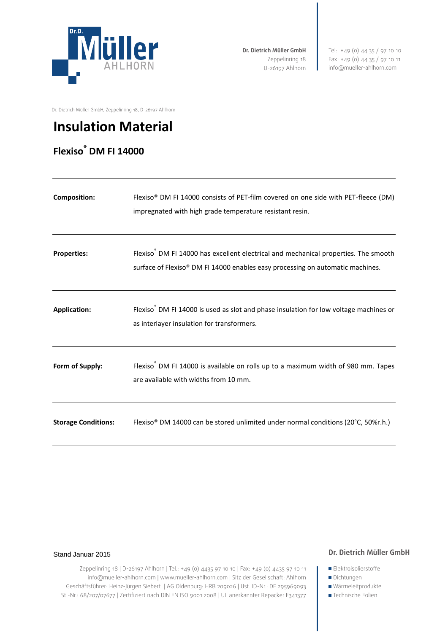

**Dr. Dietrich Müller GmbH** Zeppelinring 18 D-26197 Ahlhorn Tel: +49 (0) 44 35 / 97 10 10 Fax: +49 (0) 44 35 / 97 10 11 info@mueller-ahlhorn.com

Dr. Dietrich Müller GmbH, Zeppelinring 18, D-26197 Ahlhorn

# **Insulation Material**

# **Flexiso® DM FI 14000**

| <b>Composition:</b>        | Flexiso® DM FI 14000 consists of PET-film covered on one side with PET-fleece (DM)<br>impregnated with high grade temperature resistant resin.                                    |
|----------------------------|-----------------------------------------------------------------------------------------------------------------------------------------------------------------------------------|
| <b>Properties:</b>         | Flexiso <sup>®</sup> DM FI 14000 has excellent electrical and mechanical properties. The smooth<br>surface of Flexiso® DM FI 14000 enables easy processing on automatic machines. |
| <b>Application:</b>        | Flexiso <sup>®</sup> DM FI 14000 is used as slot and phase insulation for low voltage machines or<br>as interlayer insulation for transformers.                                   |
| Form of Supply:            | Flexiso <sup>®</sup> DM FI 14000 is available on rolls up to a maximum width of 980 mm. Tapes<br>are available with widths from 10 mm.                                            |
| <b>Storage Conditions:</b> | Flexiso® DM 14000 can be stored unlimited under normal conditions (20°C, 50%r.h.)                                                                                                 |

#### Stand Januar 2015

### **Dr. Dietrich Müller GmbH**

Zeppelinring 18 | D-26197 Ahlhorn | Tel.: +49 (0) 4435 97 10 10 | Fax: +49 (0) 4435 97 10 11 info@mueller-ahlhorn.com | www.mueller-ahlhorn.com | Sitz der Gesellschaft: Ahlhorn Geschäftsführer: Heinz-Jürgen Siebert | AG Oldenburg: HRB 209026 | Ust. ID-Nr.: DE 295969093 St.-Nr.: 68/207/07677 | Zertifiziert nach DIN EN ISO 9001:2008 | UL anerkannter Repacker E341377

■ Dichtungen Wärmeleitprodukte

**Elektroisolierstoffe** 

■Technische Folien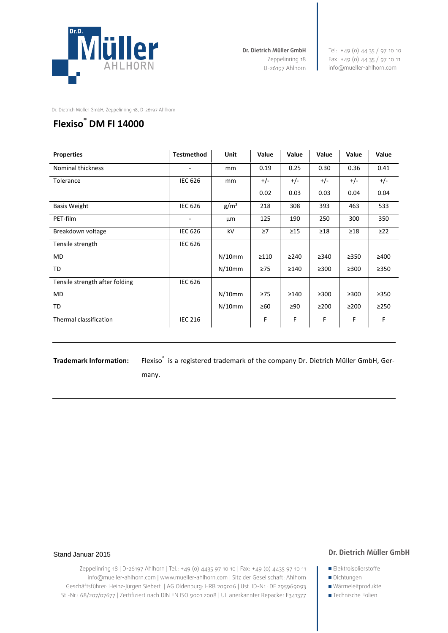

**Dr. Dietrich Müller GmbH** Zeppelinring 18 D-26197 Ahlhorn Tel: +49 (0) 44 35 / 97 10 10 Fax: +49 (0) 44 35 / 97 10 11 info@mueller-ahlhorn.com

Dr. Dietrich Müller GmbH, Zeppelinring 18, D-26197 Ahlhorn

## **Flexiso® DM FI 14000**

| <b>Properties</b>              | <b>Testmethod</b> | Unit             | Value      | Value      | Value      | Value      | Value      |
|--------------------------------|-------------------|------------------|------------|------------|------------|------------|------------|
| Nominal thickness              |                   | mm               | 0.19       | 0.25       | 0.30       | 0.36       | 0.41       |
| Tolerance                      | <b>IEC 626</b>    | mm               | $+/-$      | $+/-$      | $+/-$      | $+/-$      | $+/-$      |
|                                |                   |                  | 0.02       | 0.03       | 0.03       | 0.04       | 0.04       |
| <b>Basis Weight</b>            | <b>IEC 626</b>    | g/m <sup>2</sup> | 218        | 308        | 393        | 463        | 533        |
| PET-film                       | -                 | μm               | 125        | 190        | 250        | 300        | 350        |
| Breakdown voltage              | <b>IEC 626</b>    | kV               | $\geq 7$   | $\geq$ 15  | $\geq$ 18  | $\geq$ 18  | $\geq$ 22  |
| Tensile strength               | <b>IEC 626</b>    |                  |            |            |            |            |            |
| MD                             |                   | $N/10$ mm        | $\geq$ 110 | $\geq$ 240 | $\geq$ 340 | $\geq$ 350 | ≥400       |
| TD                             |                   | $N/10$ mm        | $\geq 75$  | $\geq$ 140 | $\geq$ 300 | $\geq$ 300 | $\geq$ 350 |
| Tensile strength after folding | <b>IEC 626</b>    |                  |            |            |            |            |            |
| MD                             |                   | $N/10$ mm        | $\geq 75$  | >140       | $\geq$ 300 | $\geq$ 300 | $\geq$ 350 |
| TD                             |                   | $N/10$ mm        | $\geq 60$  | ≥90        | $\geq$ 200 | $\geq$ 200 | $\geq$ 250 |
| Thermal classification         | <b>IEC 216</b>    |                  | F          | F          | F          | F          | F          |
|                                |                   |                  |            |            |            |            |            |

Trademark Information: Flexiso<sup>®</sup> is a registered trademark of the company Dr. Dietrich Müller GmbH, Ger-

many.

#### Stand Januar 2015

#### **Dr. Dietrich Müller GmbH**

Zeppelinring 18 | D-26197 Ahlhorn | Tel.: +49 (0) 4435 97 10 10 | Fax: +49 (0) 4435 97 10 11 info@mueller-ahlhorn.com | www.mueller-ahlhorn.com | Sitz der Gesellschaft: Ahlhorn Geschäftsführer: Heinz-Jürgen Siebert | AG Oldenburg: HRB 209026 | Ust. ID-Nr.: DE 295969093 St.-Nr.: 68/207/07677 | Zertifiziert nach DIN EN ISO 9001:2008 | UL anerkannter Repacker E341377 **Elektroisolierstoffe** 

- Dichtungen
- Wärmeleitprodukte
- ■Technische Folien